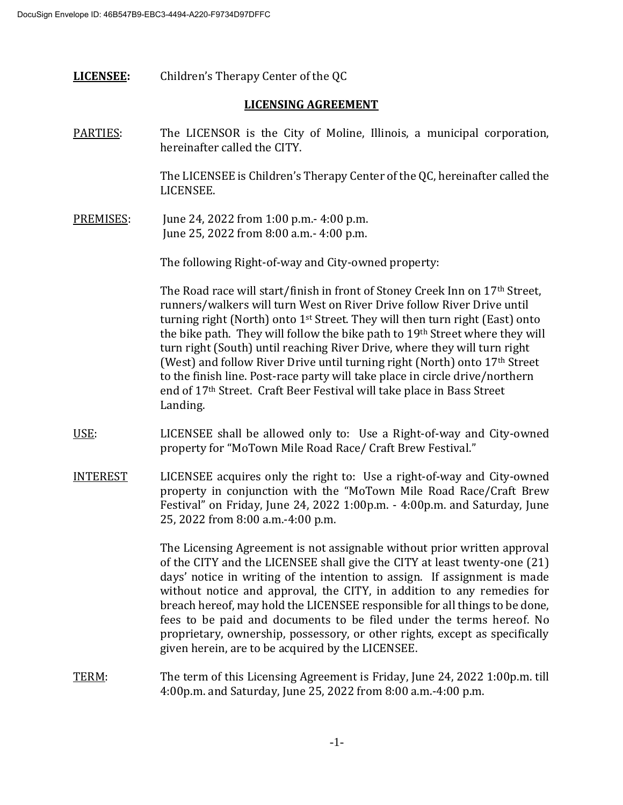**LICENSEE:** Children's Therapy Center of the QC

## **LICENSING AGREEMENT**

PARTIES: The LICENSOR is the City of Moline, Illinois, a municipal corporation, hereinafter called the CITY.

> The LICENSEE is Children's Therapy Center of the QC, hereinafter called the LICENSEE.

PREMISES: June 24, 2022 from 1:00 p.m.- 4:00 p.m. June 25, 2022 from 8:00 a.m.- 4:00 p.m.

The following Right-of-way and City-owned property:

The Road race will start/finish in front of Stoney Creek Inn on 17th Street, runners/walkers will turn West on River Drive follow River Drive until turning right (North) onto 1<sup>st</sup> Street. They will then turn right (East) onto the bike path. They will follow the bike path to 19th Street where they will turn right (South) until reaching River Drive, where they will turn right (West) and follow River Drive until turning right (North) onto 17th Street to the finish line. Post-race party will take place in circle drive/northern end of 17th Street. Craft Beer Festival will take place in Bass Street Landing.

- USE: LICENSEE shall be allowed only to: Use a Right-of-way and City-owned property for "MoTown Mile Road Race/ Craft Brew Festival."
- INTEREST LICENSEE acquires only the right to: Use a right-of-way and City-owned property in conjunction with the "MoTown Mile Road Race/Craft Brew Festival" on Friday, June 24, 2022 1:00p.m. - 4:00p.m. and Saturday, June 25, 2022 from 8:00 a.m.-4:00 p.m.

The Licensing Agreement is not assignable without prior written approval of the CITY and the LICENSEE shall give the CITY at least twenty-one (21) days' notice in writing of the intention to assign. If assignment is made without notice and approval, the CITY, in addition to any remedies for breach hereof, may hold the LICENSEE responsible for all things to be done, fees to be paid and documents to be filed under the terms hereof. No proprietary, ownership, possessory, or other rights, except as specifically given herein, are to be acquired by the LICENSEE.

TERM: The term of this Licensing Agreement is Friday, June 24, 2022 1:00p.m. till 4:00p.m. and Saturday, June 25, 2022 from 8:00 a.m.-4:00 p.m.